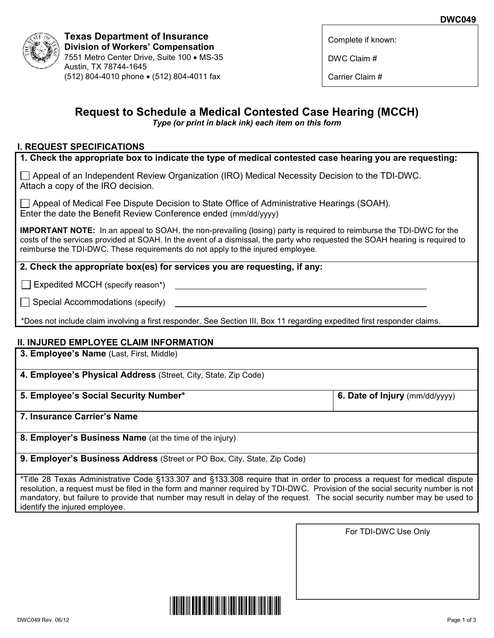

**Texas Department of Insurance Division of Workers' Compensation** 7551 Metro Center Drive, Suite 100 • MS-35 Austin, TX 78744-1645 (512) 804-4010 phone • (512) 804-4011 fax

Complete if known:

DWC Claim #

Carrier Claim #

# **Request to Schedule a Medical Contested Case Hearing (MCCH)**

*Type (or print in black ink) each item on this form*

## **I. REQUEST SPECIFICATIONS**

**1. Check the appropriate box to indicate the type of medical contested case hearing you are requesting:**

 $\Box$  Appeal of an Independent Review Organization (IRO) Medical Necessity Decision to the TDI-DWC. Attach a copy of the IRO decision.

Appeal of Medical Fee Dispute Decision to State Office of Administrative Hearings (SOAH). Enter the date the Benefit Review Conference ended (mm/dd/yyyy)

**IMPORTANT NOTE:** In an appeal to SOAH, the non-prevailing (losing) party is required to reimburse the TDI-DWC for the costs of the services provided at SOAH. In the event of a dismissal, the party who requested the SOAH hearing is required to reimburse the TDI-DWC. These requirements do not apply to the injured employee.

## **2. Check the appropriate box(es) for services you are requesting, if any:**

 $\Box$  Expedited MCCH (specify reason\*)

 $\Box$  Special Accommodations (specify)

\*Does not include claim involving a first responder. See Section III, Box 11 regarding expedited first responder claims.

## **II. INJURED EMPLOYEE CLAIM INFORMATION**

**3. Employee's Name** (Last, First, Middle)

**4. Employee's Physical Address** (Street, City, State, Zip Code)

**5. Employee's Social Security Number\***

**6. Date of Injury** (mm/dd/yyyy)

**7. Insurance Carrier's Name** 

**8. Employer's Business Name** (at the time of the injury)

**9. Employer's Business Address** (Street or PO Box, City, State, Zip Code)

\*Title 28 Texas Administrative Code §133.307 and §133.308 require that in order to process a request for medical dispute resolution, a request must be filed in the form and manner required by TDI-DWC. Provision of the social security number is not mandatory, but failure to provide that number may result in delay of the request. The social security number may be used to identify the injured employee.

For TDI-DWC Use Only

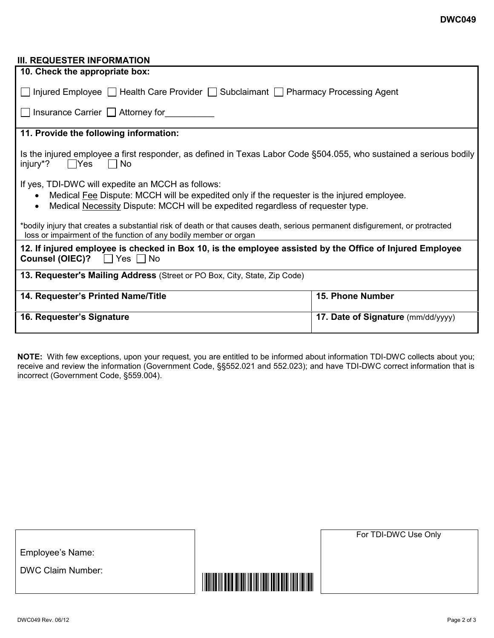#### DWC049 Rev. 06/12 Page 2 of 3

Employee's Name:

DWC Claim Number:

#### **III. REQUESTER INFORMATION**

| 10. Check the appropriate box:                                                                                                                                                                                                     |                                    |
|------------------------------------------------------------------------------------------------------------------------------------------------------------------------------------------------------------------------------------|------------------------------------|
| $\Box$ Injured Employee $\Box$ Health Care Provider $\Box$ Subclaimant $\Box$ Pharmacy Processing Agent                                                                                                                            |                                    |
| $\Box$ Insurance Carrier $\Box$ Attorney for                                                                                                                                                                                       |                                    |
| 11. Provide the following information:                                                                                                                                                                                             |                                    |
| Is the injured employee a first responder, as defined in Texas Labor Code §504.055, who sustained a serious bodily<br>injury <sup>*</sup> ? $\Box$ Yes $\Box$ No                                                                   |                                    |
| If yes, TDI-DWC will expedite an MCCH as follows:<br>Medical Fee Dispute: MCCH will be expedited only if the requester is the injured employee.<br>Medical Necessity Dispute: MCCH will be expedited regardless of requester type. |                                    |
| *bodily injury that creates a substantial risk of death or that causes death, serious permanent disfigurement, or protracted<br>loss or impairment of the function of any bodily member or organ                                   |                                    |
| 12. If injured employee is checked in Box 10, is the employee assisted by the Office of Injured Employee<br><b>Counsel (OIEC)?</b> $\Box$ Yes $\Box$ No                                                                            |                                    |
| 13. Requester's Mailing Address (Street or PO Box, City, State, Zip Code)                                                                                                                                                          |                                    |
| 14. Requester's Printed Name/Title                                                                                                                                                                                                 | <b>15. Phone Number</b>            |
| 16. Requester's Signature                                                                                                                                                                                                          | 17. Date of Signature (mm/dd/yyyy) |

**NOTE:** With few exceptions, upon your request, you are entitled to be informed about information TDI-DWC collects about you; receive and review the information (Government Code, §§552.021 and 552.023); and have TDI-DWC correct information that is incorrect (Government Code, §559.004).

For TDI-DWC Use Only

<u> Harry Harry Harry Harry Harry Harry Harry Harry Harry Harry Harry Harry Harry Harry Harry Harry Harry Harry Harry Harry Harry Harry Harry Harry Harry Harry Harry Harry Harry Harry Harry Harry Harry Harry Harry Harry Harr</u>